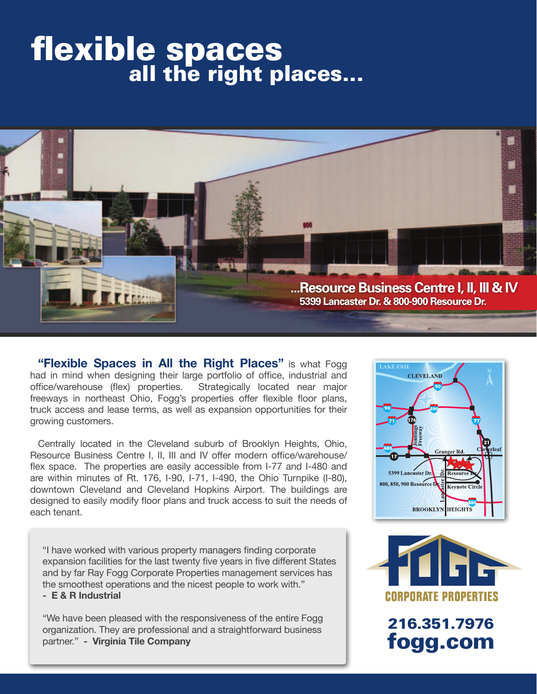## flexible spaces all the right places...



**"Flexible Spaces in All the Right Places"** is what Fogg had in mind when designing their large portfolio of office, industrial and office/warehouse (flex) properties. Strategically located near major freeways in northeast Ohio, Fogg's properties offer flexible floor plans, truck access and lease terms, as well as expansion opportunities for their growing customers.

Centrally located in the Cleveland suburb of Brooklyn Heights, Ohio, Resource Business Centre I, II, III and IV offer modern office/warehouse/ flex space. The properties are easily accessible from I-77 and I-480 and are within minutes of Rt. 176, I-90, I-71, I-490, the Ohio Turnpike (I-80), downtown Cleveland and Cleveland Hopkins Airport. The buildings are designed to easily modify floor plans and truck access to suit the needs of each tenant.

"I have worked with various property managers finding corporate expansion facilities for the last twenty five years in five different States and by far Ray Fogg Corporate Properties management services has the smoothest operations and the nicest people to work with." **- E & R Industrial**

"We have been pleased with the responsiveness of the entire Fogg organization. They are professional and a straightforward business partner." **- Virginia Tile Company**





216.351.7976 fogg.com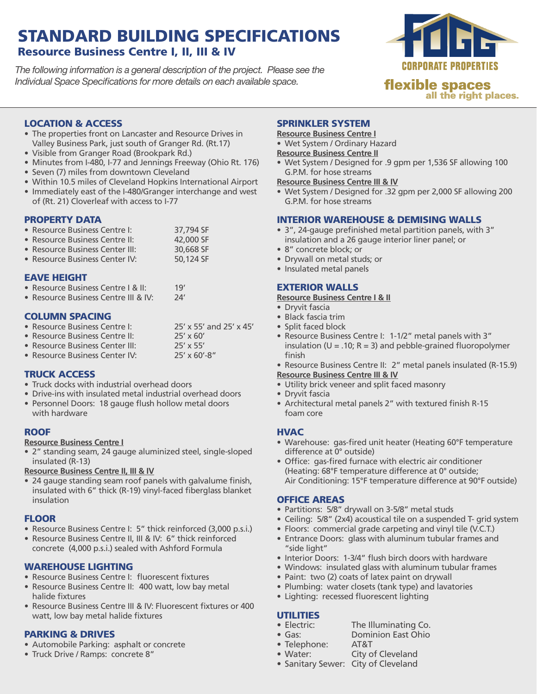### STANDARD BUILDING SPECIFICATIONS Resource Business Centre I, II, III & IV

*The following information is a general description of the project. Please see the Individual Space Specifications for more details on each available space.*



all the right places.

#### LOCATION & ACCESS

- The properties front on Lancaster and Resource Drives in Valley Business Park, just south of Granger Rd. (Rt.17)
- • Visible from Granger Road (Brookpark Rd.)
- Minutes from I-480, I-77 and Jennings Freeway (Ohio Rt. 176)
- Seven (7) miles from downtown Cleveland
- Within 10.5 miles of Cleveland Hopkins International Airport • Immediately east of the I-480/Granger interchange and west
- of (Rt. 21) Cloverleaf with access to I-77

#### PROPERTY DATA

| • Resource Business Centre I:  | 37,794 SF |
|--------------------------------|-----------|
| • Resource Business Centre II: | 42,000 SF |

- Resource Business Center III: 30,668 SF
- Resource Business Center IV: 50,124 SF

#### EAVE HEIGHT

- Resource Business Centre I & II: 19'
- Resource Business Centre III & IV: 24'

#### COLUMN SPACING

| • Resource Business Centre I:   | 25' x 55' and 25' x 45' |
|---------------------------------|-------------------------|
| • Resource Business Centre II:  | $25' \times 60'$        |
| • Resource Business Center III: | $25' \times 55'$        |
| • Resource Business Center IV:  | $25'$ x 60'-8"          |

#### TRUCK ACCESS

- Truck docks with industrial overhead doors
- Drive-ins with insulated metal industrial overhead doors
- Personnel Doors: 18 gauge flush hollow metal doors with hardware

#### **ROOF**

#### **Resource Business Centre I**

• 2" standing seam, 24 gauge aluminized steel, single-sloped insulated (R-13)

**Resource Business Centre II, III & IV**

• 24 gauge standing seam roof panels with galvalume finish, insulated with 6" thick (R-19) vinyl-faced fiberglass blanket insulation

#### FLOOR

- Resource Business Centre I: 5" thick reinforced (3,000 p.s.i.)
- Resource Business Centre II, III & IV: 6" thick reinforced concrete (4,000 p.s.i.) sealed with Ashford Formula

#### WAREHOUSE LIGHTING

- Resource Business Centre I: fluorescent fixtures
- Resource Business Centre II: 400 watt, low bay metal halide fixtures
- Resource Business Centre III & IV: Fluorescent fixtures or 400 watt, low bay metal halide fixtures

#### PARKING & DRIVES

- Automobile Parking: asphalt or concrete
- Truck Drive / Ramps: concrete 8"

#### SPRINKLER SYSTEM

**Resource Business Centre I**

• Wet System / Ordinary Hazard

#### **Resource Business Centre II**

• Wet System / Designed for .9 gpm per 1,536 SF allowing 100 G.P.M. for hose streams

#### **Resource Business Centre III & IV**

• Wet System / Designed for .32 gpm per 2,000 SF allowing 200 G.P.M. for hose streams

#### INTERIOR WAREHOUSE & DEMISING WALLS

- • 3", 24-gauge prefinished metal partition panels, with 3" insulation and a 26 gauge interior liner panel; or
- 8" concrete block; or
- • Drywall on metal studs; or
- Insulated metal panels

#### EXTERIOR WALLS

#### **Resource Business Centre I & II**

- Dryvit fascia
- • Black fascia trim
- Split faced block
- Resource Business Centre I: 1-1/2" metal panels with 3" insulation ( $U = .10$ ; R = 3) and pebble-grained fluoropolymer finish

• Resource Business Centre II: 2" metal panels insulated (R-15.9) **Resource Business Centre III & IV**

- Utility brick veneer and split faced masonry
- Dryvit fascia
- Architectural metal panels 2" with textured finish R-15 foam core

#### **HVAC**

- Warehouse: gas-fired unit heater (Heating 60°F temperature difference at 0° outside)
- • Office: gas-fired furnace with electric air conditioner (Heating: 68°F temperature difference at 0° outside; Air Conditioning: 15°F temperature difference at 90°F outside)

#### OFFICE AREAS

- Partitions: 5/8" drywall on 3-5/8" metal studs
- Ceiling: 5/8" (2x4) acoustical tile on a suspended T- grid system
- Floors: commercial grade carpeting and vinyl tile (V.C.T.)
- Entrance Doors: glass with aluminum tubular frames and "side light"
- Interior Doors: 1-3/4" flush birch doors with hardware
- • Windows: insulated glass with aluminum tubular frames
- Paint: two (2) coats of latex paint on drywall
- Plumbing: water closets (tank type) and lavatories
- Lighting: recessed fluorescent lighting

## **UTILITIES**<br>• Electric:

- The Illuminating Co.
- Gas: Dominion East Ohio
- Telephone: AT&T
- Water: City of Cleveland
- Sanitary Sewer: City of Cleveland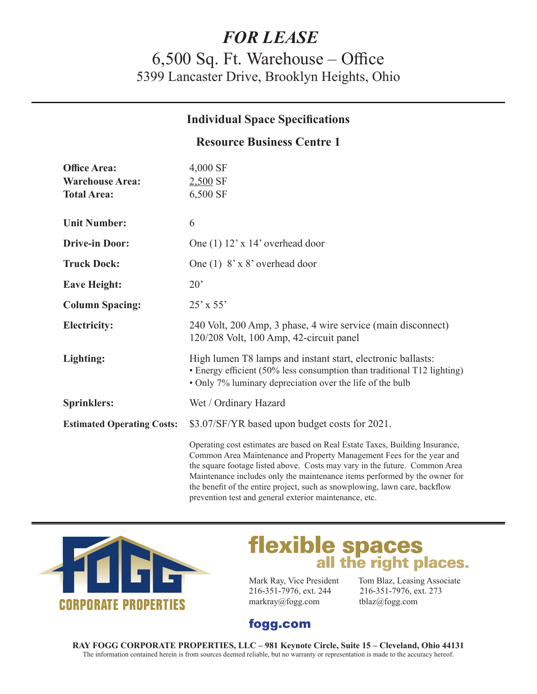## *FOR LEASE*

## 6,500 Sq. Ft. Warehouse – Office 5399 Lancaster Drive, Brooklyn Heights, Ohio

#### **Individual Space Specifications**

#### **Resource Business Centre 1**

| <b>Office Area:</b><br><b>Warehouse Area:</b><br><b>Total Area:</b> | 4,000 SF<br>$2,500$ SF<br>6,500 SF                                                                                                                                                                                                                                                                                                                                                               |
|---------------------------------------------------------------------|--------------------------------------------------------------------------------------------------------------------------------------------------------------------------------------------------------------------------------------------------------------------------------------------------------------------------------------------------------------------------------------------------|
| <b>Unit Number:</b>                                                 | 6                                                                                                                                                                                                                                                                                                                                                                                                |
| <b>Drive-in Door:</b>                                               | One $(1)$ 12' x 14' overhead door                                                                                                                                                                                                                                                                                                                                                                |
| <b>Truck Dock:</b>                                                  | One (1) $8' \times 8'$ overhead door                                                                                                                                                                                                                                                                                                                                                             |
| <b>Eave Height:</b>                                                 | 20'                                                                                                                                                                                                                                                                                                                                                                                              |
| <b>Column Spacing:</b>                                              | $25'$ x 55'                                                                                                                                                                                                                                                                                                                                                                                      |
| <b>Electricity:</b>                                                 | 240 Volt, 200 Amp, 3 phase, 4 wire service (main disconnect)<br>120/208 Volt, 100 Amp, 42-circuit panel                                                                                                                                                                                                                                                                                          |
| Lighting:                                                           | High lumen T8 lamps and instant start, electronic ballasts:<br>• Energy efficient (50% less consumption than traditional T12 lighting)<br>• Only 7% luminary depreciation over the life of the bulb                                                                                                                                                                                              |
| <b>Sprinklers:</b>                                                  | Wet / Ordinary Hazard                                                                                                                                                                                                                                                                                                                                                                            |
| <b>Estimated Operating Costs:</b>                                   | \$3.07/SF/YR based upon budget costs for 2021.                                                                                                                                                                                                                                                                                                                                                   |
|                                                                     | Operating cost estimates are based on Real Estate Taxes, Building Insurance,<br>Common Area Maintenance and Property Management Fees for the year and<br>the square footage listed above. Costs may vary in the future. Common Area<br>Maintenance includes only the maintenance items performed by the owner for<br>the benefit of the entire project, such as snowplowing, lawn care, backflow |



# **flexible spaces**<br>all the right places.

216-351-7976, ext. 244 216-351-7976, ext. 273 markray@fogg.com tblaz@fogg.com

prevention test and general exterior maintenance, etc.

Mark Ray, Vice President Tom Blaz, Leasing Associate

## fogg.com

**RAY FOGG CORPORATE PROPERTIES, LLC – 981 Keynote Circle, Suite 15 – Cleveland, Ohio 44131** The information contained herein is from sources deemed reliable, but no warranty or representation is made to the accuracy hereof.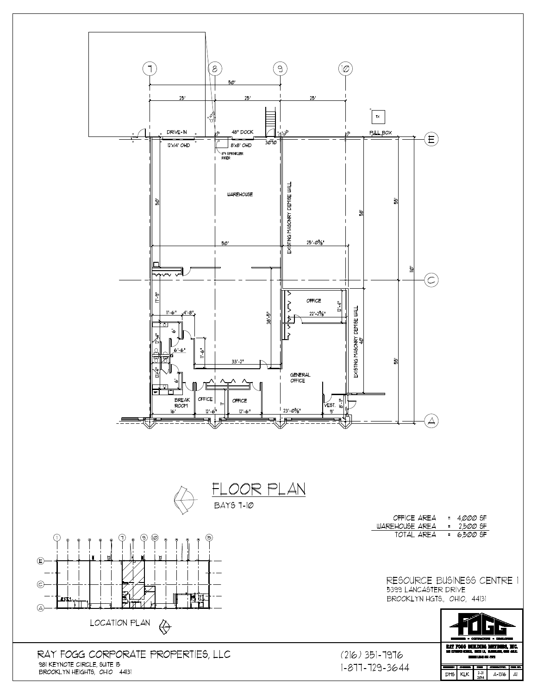